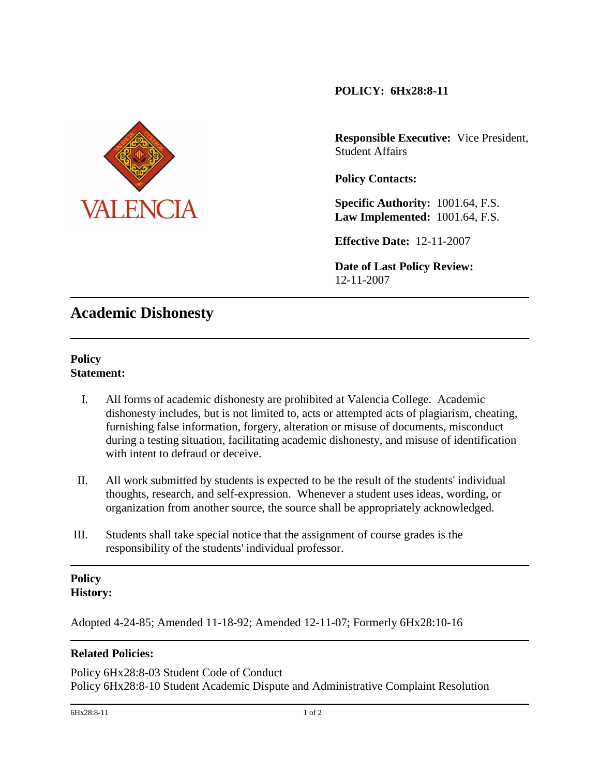# **POLICY: 6Hx28:8-11**



**Responsible Executive:** Vice President, Student Affairs

**Policy Contacts:** 

**Specific Authority:** 1001.64, F.S. **Law Implemented:** 1001.64, F.S.

**Effective Date:** 12-11-2007

**Date of Last Policy Review:** 12-11-2007

# **Academic Dishonesty**

## **Policy Statement:**

- I. All forms of academic dishonesty are prohibited at Valencia College. Academic dishonesty includes, but is not limited to, acts or attempted acts of plagiarism, cheating, furnishing false information, forgery, alteration or misuse of documents, misconduct during a testing situation, facilitating academic dishonesty, and misuse of identification with intent to defraud or deceive.
- II. All work submitted by students is expected to be the result of the students' individual thoughts, research, and self-expression. Whenever a student uses ideas, wording, or organization from another source, the source shall be appropriately acknowledged.
- III. Students shall take special notice that the assignment of course grades is the responsibility of the students' individual professor.

#### **Policy History:**

Adopted 4-24-85; Amended 11-18-92; Amended 12-11-07; Formerly 6Hx28:10-16

## **Related Policies:**

Policy 6Hx28:8-03 Student Code of Conduct Policy 6Hx28:8-10 Student Academic Dispute and Administrative Complaint Resolution